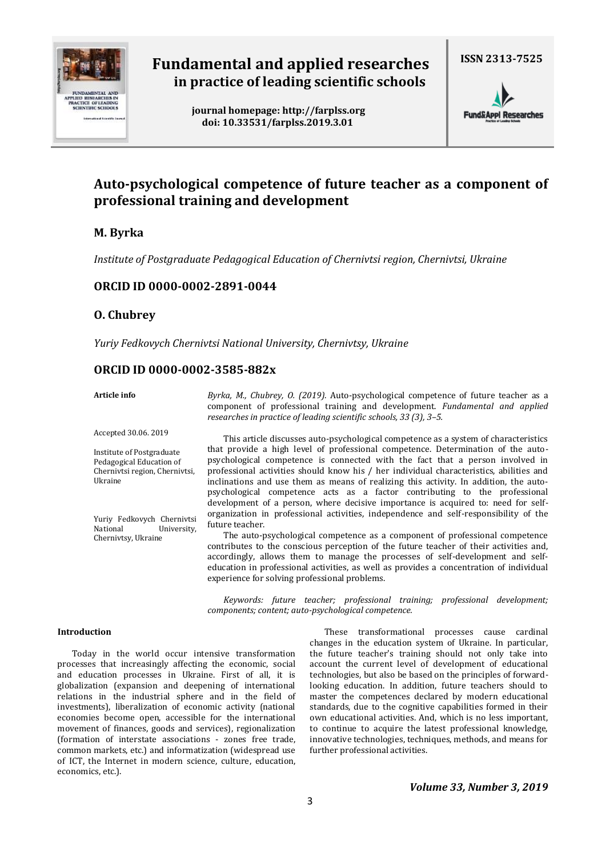

# **Fundamental and applied researches in practice of leading scientific schools**

 **journal homepage[: http://farplss.org](http://farplss.org/) doi: 10.33531/farplss.2019.3.01**

**ISSN 2313-7525**



# **Auto-psychological competence of future teacher as a component of professional training and development**

# **M. Byrka**

*Institute of Postgraduate Pedagogical Education of Chernivtsi region, Chernivtsi, Ukraine*

# **ORCID ID 0000-0002-2891-0044**

## **O. Chubrey**

*Yuriy Fedkovych Chernivtsi National University, Chernivtsy, Ukraine*

# **ORCID ID 0000-0002-3585-882x**

## **Article info**

*Byrka, M., Chubrey, O. (2019).* Auto-psychological competence of future teacher as a component of professional training and development. *Fundamental and applied researches in practice of leading scientific schools, 33 (3), 3–5.*

Accepted 30.06. 2019

Institute of Postgraduate Pedagogical Education of Chernivtsi region, Chernivtsi, Ukraine

Yuriy Fedkovych Chernivtsi National University, Chernivtsy, Ukraine

This article discusses auto-psychological competence as a system of characteristics that provide a high level of professional competence. Determination of the autopsychological competence is connected with the fact that a person involved in professional activities should know his / her individual characteristics, abilities and inclinations and use them as means of realizing this activity. In addition, the autopsychological competence acts as a factor contributing to the professional development of a person, where decisive importance is acquired to: need for selforganization in professional activities, independence and self-responsibility of the future teacher.

The auto-psychological competence as a component of professional competence contributes to the conscious perception of the future teacher of their activities and, accordingly, allows them to manage the processes of self-development and selfeducation in professional activities, as well as provides a concentration of individual experience for solving professional problems.

*Keywords: future teacher; professional training; professional development; components; content; auto-psychological competence.*

### **Introduction**

Today in the world occur intensive transformation processes that increasingly affecting the economic, social and education processes in Ukraine. First of all, it is globalization (expansion and deepening of international relations in the industrial sphere and in the field of investments), liberalization of economic activity (national economies become open, accessible for the international movement of finances, goods and services), regionalization (formation of interstate associations - zones free trade, common markets, etc.) and informatization (widespread use of ICT, the Internet in modern science, culture, education, economics, etc.).

These transformational processes cause cardinal changes in the education system of Ukraine. In particular, the future teacher's training should not only take into account the current level of development of educational technologies, but also be based on the principles of forwardlooking education. In addition, future teachers should to master the competences declared by modern educational standards, due to the cognitive capabilities formed in their own educational activities. And, which is no less important, to continue to acquire the latest professional knowledge, innovative technologies, techniques, methods, and means for further professional activities.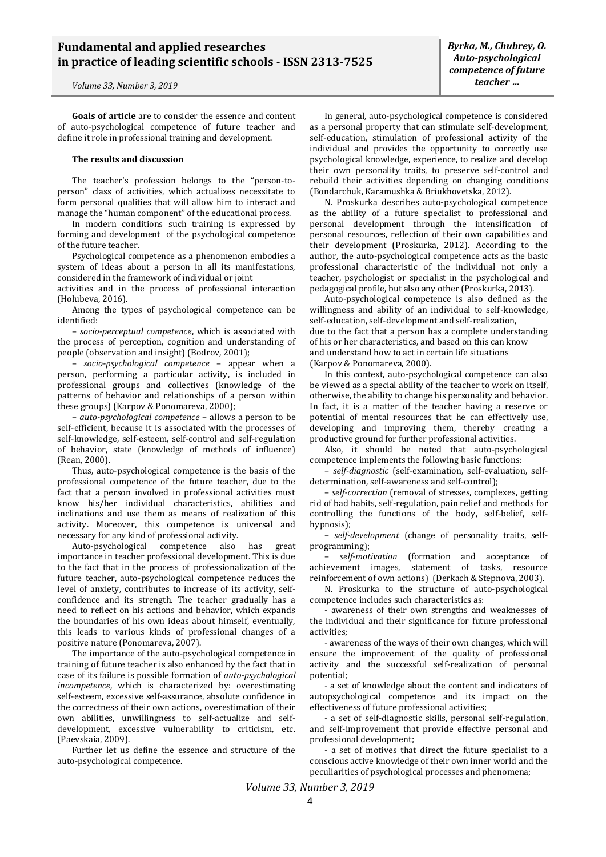*Volume 33, Number 3, 2019*

**Goals of article** are to consider the essence and content of auto-psychological competence of future teacher and define it role in professional training and development.

#### **The results and discussion**

The teacher's profession belongs to the "person-toperson" class of activities, which actualizes necessitate to form personal qualities that will allow him to interact and manage the "human component" of the educational process.

In modern conditions such training is expressed by forming and development of the psychological competence of the future teacher.

Psychological competence as a phenomenon embodies a system of ideas about a person in all its manifestations, considered in the framework of individual or joint

activities and in the process of professional interaction (Holubeva, 2016).

Among the types of psychological competence can be identified:

– *socio-perceptual competence*, which is associated with the process of perception, cognition and understanding of people (observation and insight) (Bodrov, 2001);

– *socio-psychological competence* – appear when a person, performing a particular activity, is included in professional groups and collectives (knowledge of the patterns of behavior and relationships of a person within these groups) (Karpov & Ponomareva, 2000);

– *auto-psychological competence* – allows a person to be self-efficient, because it is associated with the processes of self-knowledge, self-esteem, self-control and self-regulation of behavior, state (knowledge of methods of influence) (Rean, 2000).

Thus, auto-psychological competence is the basis of the professional competence of the future teacher, due to the fact that a person involved in professional activities must know his/her individual characteristics, abilities and inclinations and use them as means of realization of this activity. Moreover, this competence is universal and necessary for any kind of professional activity.

Auto-psychological competence also has great importance in teacher professional development. This is due to the fact that in the process of professionalization of the future teacher, auto-psychological competence reduces the level of anxiety, contributes to increase of its activity, selfconfidence and its strength. The teacher gradually has a need to reflect on his actions and behavior, which expands the boundaries of his own ideas about himself, eventually, this leads to various kinds of professional changes of a positive nature (Ponomareva, 2007).

The importance of the auto-psychological competence in training of future teacher is also enhanced by the fact that in case of its failure is possible formation of *auto-psychological incompetence*, which is characterized by: overestimating self-esteem, excessive self-assurance, absolute confidence in the correctness of their own actions, overestimation of their own abilities, unwillingness to self-actualize and selfdevelopment, excessive vulnerability to criticism, etc. (Paevskaia, 2009).

Further let us define the essence and structure of the auto-psychological competence.

In general, auto-psychological competence is considered as a personal property that can stimulate self-development, self-education, stimulation of professional activity of the individual and provides the opportunity to correctly use psychological knowledge, experience, to realize and develop their own personality traits, to preserve self-control and rebuild their activities depending on changing conditions (Bondarchuk, Karamushka & Briukhovetska, 2012).

N. Proskurka describes auto-psychological competence as the ability of a future specialist to professional and personal development through the intensification of personal resources, reflection of their own capabilities and their development (Proskurka, 2012). According to the author, the auto-psychological competence acts as the basic professional characteristic of the individual not only a teacher, psychologist or specialist in the psychological and pedagogical profile, but also any other (Proskurka, 2013).

Auto-psychological competence is also defined as the willingness and ability of an individual to self-knowledge, self-education, self-development and self-realization, due to the fact that a person has a complete understanding of his or her characteristics, and based on this can know and understand how to act in certain life situations (Karpov & Ponomareva, 2000).

In this context, auto-psychological competence can also be viewed as a special ability of the teacher to work on itself, otherwise, the ability to change his personality and behavior. In fact, it is a matter of the teacher having a reserve or potential of mental resources that he can effectively use, developing and improving them, thereby creating a productive ground for further professional activities.

Also, it should be noted that auto-psychological competence implements the following basic functions:

– *self-diagnostic* (self-examination, self-evaluation, selfdetermination, self-awareness and self-control);

– *self-correction* (removal of stresses, complexes, getting rid of bad habits, self-regulation, pain relief and methods for controlling the functions of the body, self-belief, selfhypnosis);

– *self-development* (change of personality traits, selfprogramming);

– *self-motivation* (formation and acceptance of achievement images, statement of tasks, resource reinforcement of own actions) (Derkach & Stepnova, 2003).

N. Proskurka to the structure of auto-psychological competence includes such characteristics as:

- awareness of their own strengths and weaknesses of the individual and their significance for future professional activities;

- awareness of the ways of their own changes, which will ensure the improvement of the quality of professional activity and the successful self-realization of personal potential;

- a set of knowledge about the content and indicators of autopsychological competence and its impact on the effectiveness of future professional activities;

- a set of self-diagnostic skills, personal self-regulation, and self-improvement that provide effective personal and professional development;

- a set of motives that direct the future specialist to a conscious active knowledge of their own inner world and the peculiarities of psychological processes and phenomena;